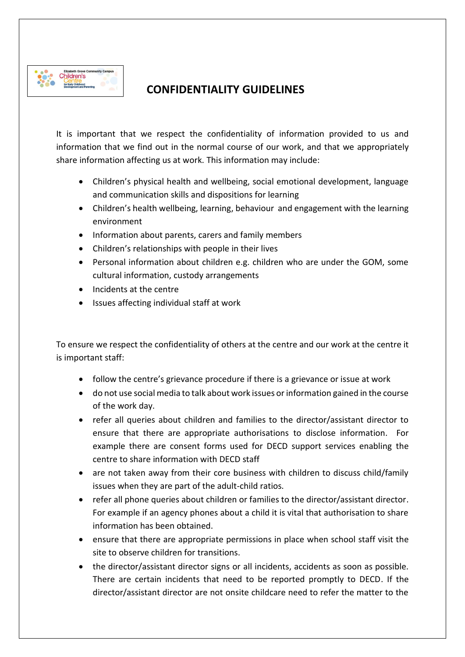

## **CONFIDENTIALITY GUIDELINES**

It is important that we respect the confidentiality of information provided to us and information that we find out in the normal course of our work, and that we appropriately share information affecting us at work. This information may include:

- Children's physical health and wellbeing, social emotional development, language and communication skills and dispositions for learning
- Children's health wellbeing, learning, behaviour and engagement with the learning environment
- Information about parents, carers and family members
- Children's relationships with people in their lives
- Personal information about children e.g. children who are under the GOM, some cultural information, custody arrangements
- Incidents at the centre
- Issues affecting individual staff at work

To ensure we respect the confidentiality of others at the centre and our work at the centre it is important staff:

- follow the centre's grievance procedure if there is a grievance or issue at work
- do not use social media to talk about work issues or information gained in the course of the work day.
- refer all queries about children and families to the director/assistant director to ensure that there are appropriate authorisations to disclose information. For example there are consent forms used for DECD support services enabling the centre to share information with DECD staff
- are not taken away from their core business with children to discuss child/family issues when they are part of the adult-child ratios.
- refer all phone queries about children or families to the director/assistant director. For example if an agency phones about a child it is vital that authorisation to share information has been obtained.
- ensure that there are appropriate permissions in place when school staff visit the site to observe children for transitions.
- the director/assistant director signs or all incidents, accidents as soon as possible. There are certain incidents that need to be reported promptly to DECD. If the director/assistant director are not onsite childcare need to refer the matter to the